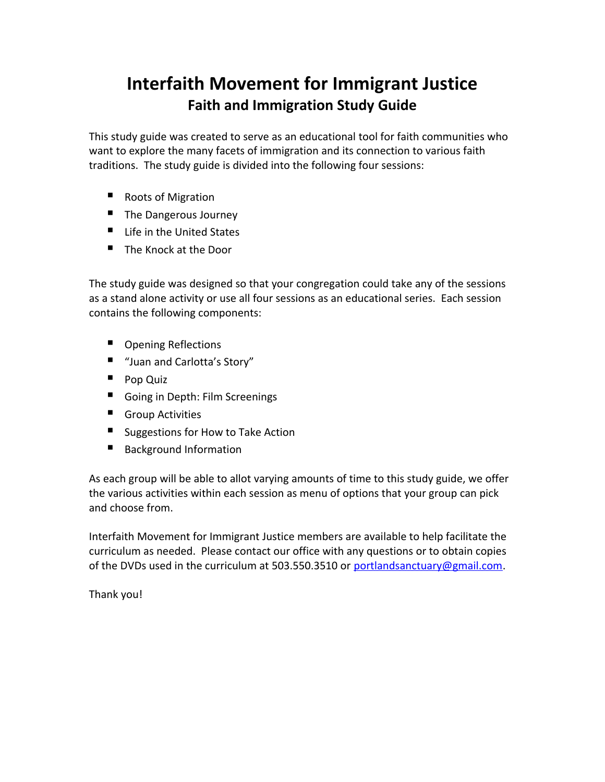# **Interfaith Movement for Immigrant Justice Faith and Immigration Study Guide**

This study guide was created to serve as an educational tool for faith communities who want to explore the many facets of immigration and its connection to various faith traditions. The study guide is divided into the following four sessions:

- Roots of Migration
- The Dangerous Journey
- Life in the United States
- The Knock at the Door

The study guide was designed so that your congregation could take any of the sessions as a stand alone activity or use all four sessions as an educational series. Each session contains the following components:

- **Dening Reflections**
- "Juan and Carlotta's Story"
- **Pop Quiz**
- Going in Depth: Film Screenings
- Group Activities
- Suggestions for How to Take Action
- Background Information

As each group will be able to allot varying amounts of time to this study guide, we offer the various activities within each session as menu of options that your group can pick and choose from.

Interfaith Movement for Immigrant Justice members are available to help facilitate the curriculum as needed. Please contact our office with any questions or to obtain copies of the DVDs used in the curriculum at 503.550.3510 or [portlandsanctuary@gmail.com.](mailto:portlandsanctuary@gmail.com)

Thank you!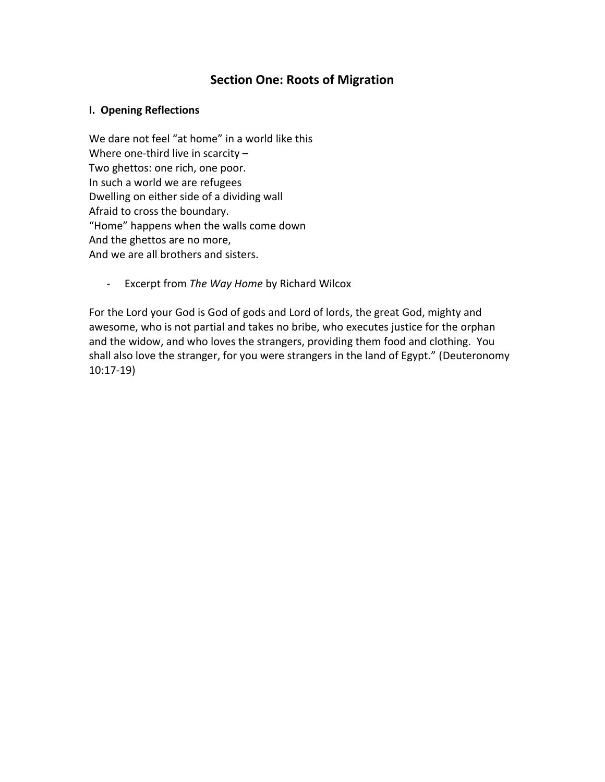# **Section One: Roots of Migration**

# **I. Opening Reflections**

We dare not feel "at home" in a world like this Where one-third live in scarcity – Two ghettos: one rich, one poor. In such a world we are refugees Dwelling on either side of a dividing wall Afraid to cross the boundary. "Home" happens when the walls come down And the ghettos are no more, And we are all brothers and sisters.

- Excerpt from *The Way Home* by Richard Wilcox

For the Lord your God is God of gods and Lord of lords, the great God, mighty and awesome, who is not partial and takes no bribe, who executes justice for the orphan and the widow, and who loves the strangers, providing them food and clothing. You shall also love the stranger, for you were strangers in the land of Egypt." (Deuteronomy 10:17-19)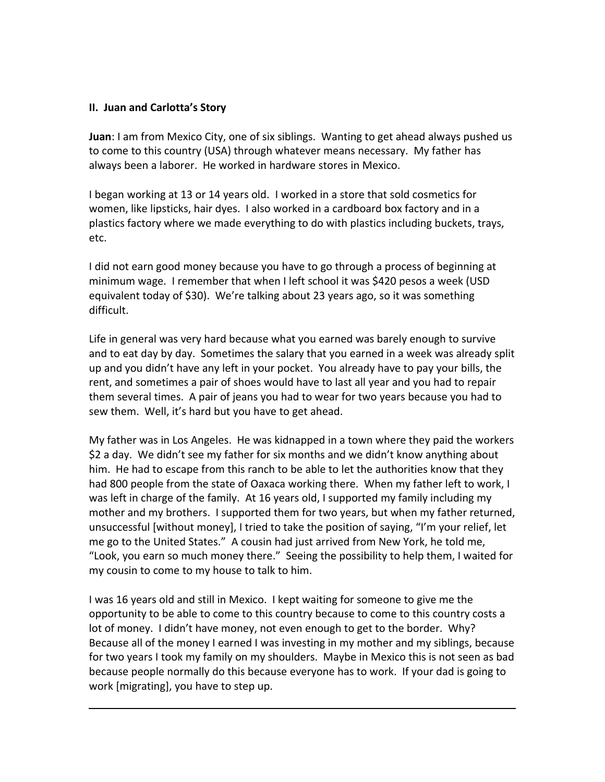#### **II. Juan and Carlotta's Story**

**Juan**: I am from Mexico City, one of six siblings. Wanting to get ahead always pushed us to come to this country (USA) through whatever means necessary. My father has always been a laborer. He worked in hardware stores in Mexico.

I began working at 13 or 14 years old. I worked in a store that sold cosmetics for women, like lipsticks, hair dyes. I also worked in a cardboard box factory and in a plastics factory where we made everything to do with plastics including buckets, trays, etc.

I did not earn good money because you have to go through a process of beginning at minimum wage. I remember that when I left school it was \$420 pesos a week (USD equivalent today of \$30). We're talking about 23 years ago, so it was something difficult.

Life in general was very hard because what you earned was barely enough to survive and to eat day by day. Sometimes the salary that you earned in a week was already split up and you didn't have any left in your pocket. You already have to pay your bills, the rent, and sometimes a pair of shoes would have to last all year and you had to repair them several times. A pair of jeans you had to wear for two years because you had to sew them. Well, it's hard but you have to get ahead.

My father was in Los Angeles. He was kidnapped in a town where they paid the workers \$2 a day. We didn't see my father for six months and we didn't know anything about him. He had to escape from this ranch to be able to let the authorities know that they had 800 people from the state of Oaxaca working there. When my father left to work, I was left in charge of the family. At 16 years old, I supported my family including my mother and my brothers. I supported them for two years, but when my father returned, unsuccessful [without money], I tried to take the position of saying, "I'm your relief, let me go to the United States." A cousin had just arrived from New York, he told me, "Look, you earn so much money there." Seeing the possibility to help them, I waited for my cousin to come to my house to talk to him.

I was 16 years old and still in Mexico. I kept waiting for someone to give me the opportunity to be able to come to this country because to come to this country costs a lot of money. I didn't have money, not even enough to get to the border. Why? Because all of the money I earned I was investing in my mother and my siblings, because for two years I took my family on my shoulders. Maybe in Mexico this is not seen as bad because people normally do this because everyone has to work. If your dad is going to work [migrating], you have to step up.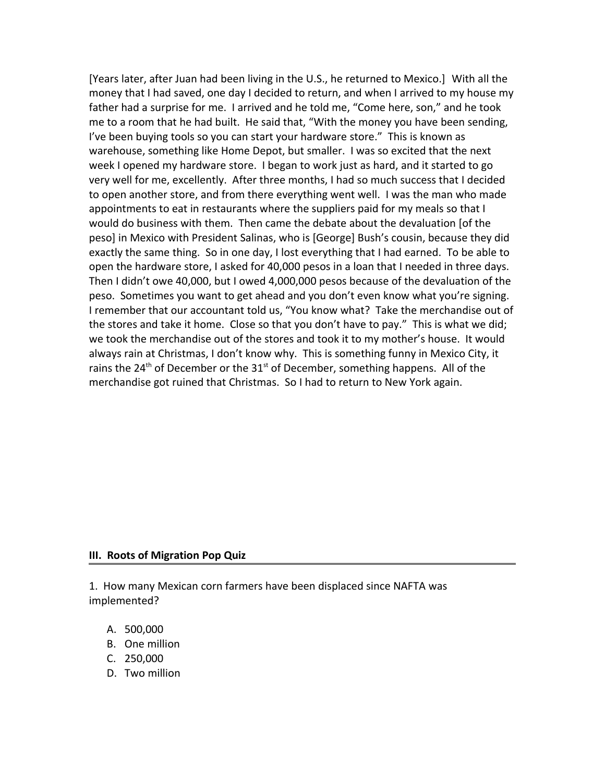[Years later, after Juan had been living in the U.S., he returned to Mexico.] With all the money that I had saved, one day I decided to return, and when I arrived to my house my father had a surprise for me. I arrived and he told me, "Come here, son," and he took me to a room that he had built. He said that, "With the money you have been sending, I've been buying tools so you can start your hardware store." This is known as warehouse, something like Home Depot, but smaller. I was so excited that the next week I opened my hardware store. I began to work just as hard, and it started to go very well for me, excellently. After three months, I had so much success that I decided to open another store, and from there everything went well. I was the man who made appointments to eat in restaurants where the suppliers paid for my meals so that I would do business with them. Then came the debate about the devaluation [of the peso] in Mexico with President Salinas, who is [George] Bush's cousin, because they did exactly the same thing. So in one day, I lost everything that I had earned. To be able to open the hardware store, I asked for 40,000 pesos in a loan that I needed in three days. Then I didn't owe 40,000, but I owed 4,000,000 pesos because of the devaluation of the peso. Sometimes you want to get ahead and you don't even know what you're signing. I remember that our accountant told us, "You know what? Take the merchandise out of the stores and take it home. Close so that you don't have to pay." This is what we did; we took the merchandise out of the stores and took it to my mother's house. It would always rain at Christmas, I don't know why. This is something funny in Mexico City, it rains the 24<sup>th</sup> of December or the 31<sup>st</sup> of December, something happens. All of the merchandise got ruined that Christmas. So I had to return to New York again.

#### **III. Roots of Migration Pop Quiz**

1. How many Mexican corn farmers have been displaced since NAFTA was implemented?

- A. 500,000
- B. One million
- C. 250,000
- D. Two million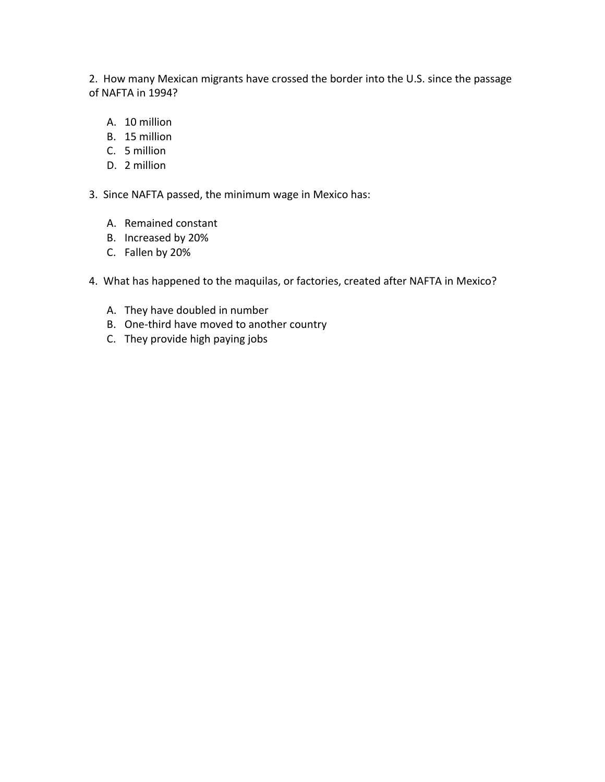2. How many Mexican migrants have crossed the border into the U.S. since the passage of NAFTA in 1994?

- A. 10 million
- B. 15 million
- C. 5 million
- D. 2 million

3. Since NAFTA passed, the minimum wage in Mexico has:

- A. Remained constant
- B. Increased by 20%
- C. Fallen by 20%
- 4. What has happened to the maquilas, or factories, created after NAFTA in Mexico?
	- A. They have doubled in number
	- B. One-third have moved to another country
	- C. They provide high paying jobs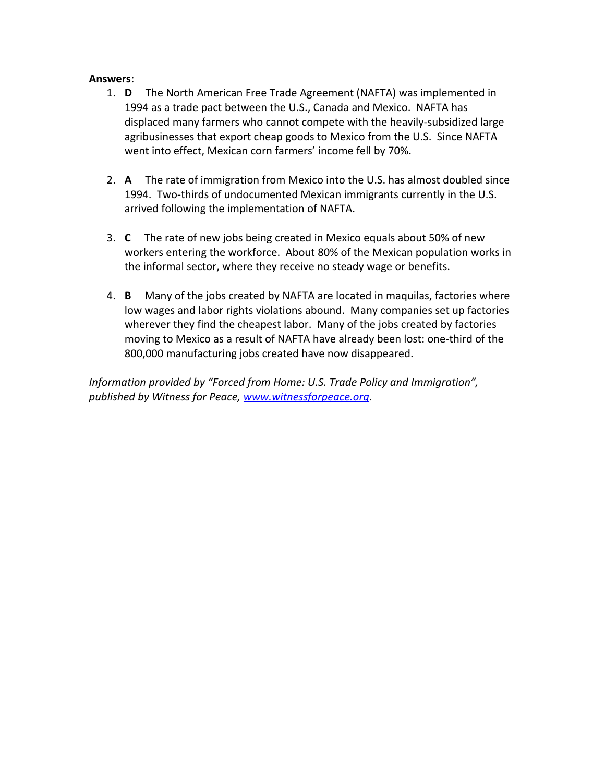#### **Answers**:

- 1. **D** The North American Free Trade Agreement (NAFTA) was implemented in 1994 as a trade pact between the U.S., Canada and Mexico. NAFTA has displaced many farmers who cannot compete with the heavily-subsidized large agribusinesses that export cheap goods to Mexico from the U.S. Since NAFTA went into effect, Mexican corn farmers' income fell by 70%.
- 2. **A** The rate of immigration from Mexico into the U.S. has almost doubled since 1994. Two-thirds of undocumented Mexican immigrants currently in the U.S. arrived following the implementation of NAFTA.
- 3. **C** The rate of new jobs being created in Mexico equals about 50% of new workers entering the workforce. About 80% of the Mexican population works in the informal sector, where they receive no steady wage or benefits.
- 4. **B** Many of the jobs created by NAFTA are located in maquilas, factories where low wages and labor rights violations abound. Many companies set up factories wherever they find the cheapest labor. Many of the jobs created by factories moving to Mexico as a result of NAFTA have already been lost: one-third of the 800,000 manufacturing jobs created have now disappeared.

*Information provided by "Forced from Home: U.S. Trade Policy and Immigration", published by Witness for Peace, [www.witnessforpeace.org.](http://www.witnessforpeace.org/)*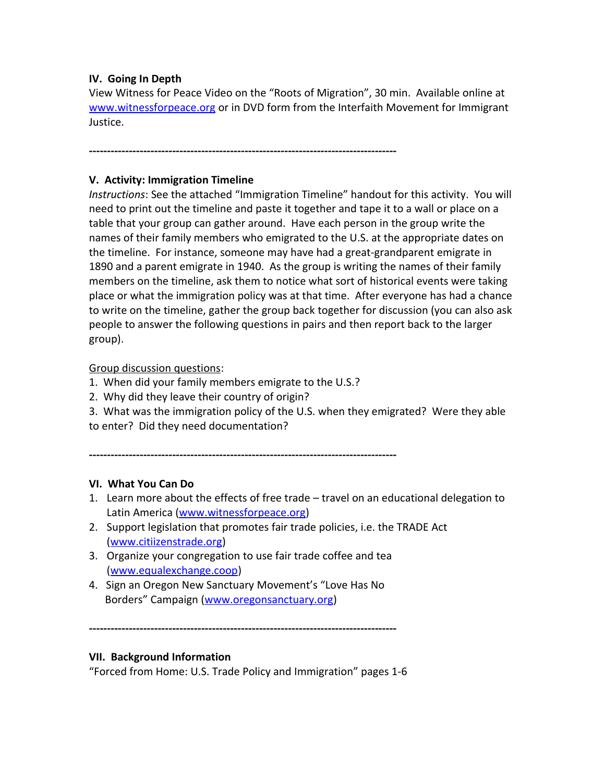# **IV. Going In Depth**

View Witness for Peace Video on the "Roots of Migration", 30 min. Available online at [www.witnessforpeace.org](http://www.witnessforpeace.org/) or in DVD form from the Interfaith Movement for Immigrant Justice.

**-------------------------------------------------------------------------------------**

## **V. Activity: Immigration Timeline**

*Instructions*: See the attached "Immigration Timeline" handout for this activity. You will need to print out the timeline and paste it together and tape it to a wall or place on a table that your group can gather around. Have each person in the group write the names of their family members who emigrated to the U.S. at the appropriate dates on the timeline. For instance, someone may have had a great-grandparent emigrate in 1890 and a parent emigrate in 1940. As the group is writing the names of their family members on the timeline, ask them to notice what sort of historical events were taking place or what the immigration policy was at that time. After everyone has had a chance to write on the timeline, gather the group back together for discussion (you can also ask people to answer the following questions in pairs and then report back to the larger group).

#### Group discussion questions:

1. When did your family members emigrate to the U.S.?

2. Why did they leave their country of origin?

3. What was the immigration policy of the U.S. when they emigrated? Were they able to enter? Did they need documentation?

**-------------------------------------------------------------------------------------**

#### **VI. What You Can Do**

- 1. Learn more about the effects of free trade travel on an educational delegation to Latin America [\(www.witnessforpeace.org\)](http://www.witnessforpeace.org/)
- 2. Support legislation that promotes fair trade policies, i.e. the TRADE Act [\(www.citiizenstrade.org\)](http://www.citiizenstrade.org/)
- 3. Organize your congregation to use fair trade coffee and tea [\(www.equalexchange.coop\)](http://www.equalexchange.coop/)
- 4. Sign an Oregon New Sanctuary Movement's "Love Has No Borders" Campaign [\(www.oregonsanctuary.org\)](http://www.oregonsanctuary.org/)

**-------------------------------------------------------------------------------------**

#### **VII. Background Information**

"Forced from Home: U.S. Trade Policy and Immigration" pages 1-6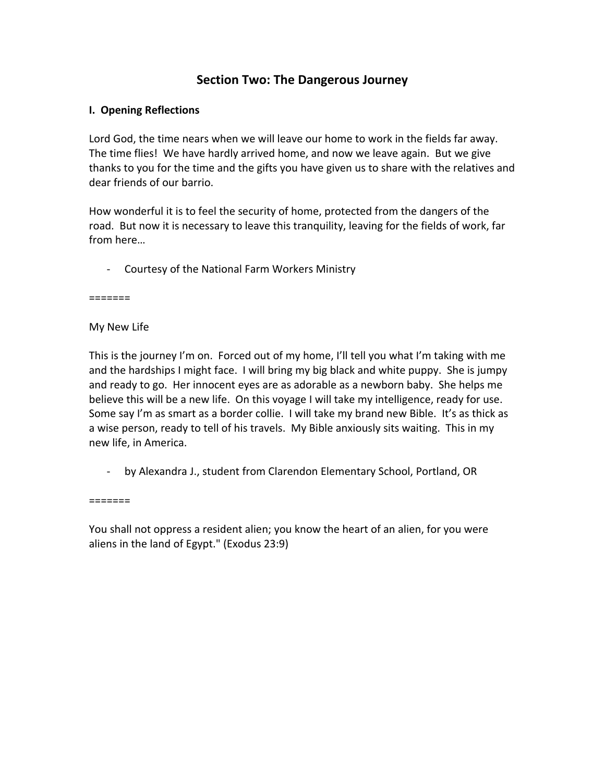# **Section Two: The Dangerous Journey**

# **I. Opening Reflections**

Lord God, the time nears when we will leave our home to work in the fields far away. The time flies! We have hardly arrived home, and now we leave again. But we give thanks to you for the time and the gifts you have given us to share with the relatives and dear friends of our barrio.

How wonderful it is to feel the security of home, protected from the dangers of the road. But now it is necessary to leave this tranquility, leaving for the fields of work, far from here…

- Courtesy of the National Farm Workers Ministry

=======

#### My New Life

This is the journey I'm on. Forced out of my home, I'll tell you what I'm taking with me and the hardships I might face. I will bring my big black and white puppy. She is jumpy and ready to go. Her innocent eyes are as adorable as a newborn baby. She helps me believe this will be a new life. On this voyage I will take my intelligence, ready for use. Some say I'm as smart as a border collie. I will take my brand new Bible. It's as thick as a wise person, ready to tell of his travels. My Bible anxiously sits waiting. This in my new life, in America.

- by Alexandra J., student from Clarendon Elementary School, Portland, OR

=======

You shall not oppress a resident alien; you know the heart of an alien, for you were aliens in the land of Egypt." (Exodus 23:9)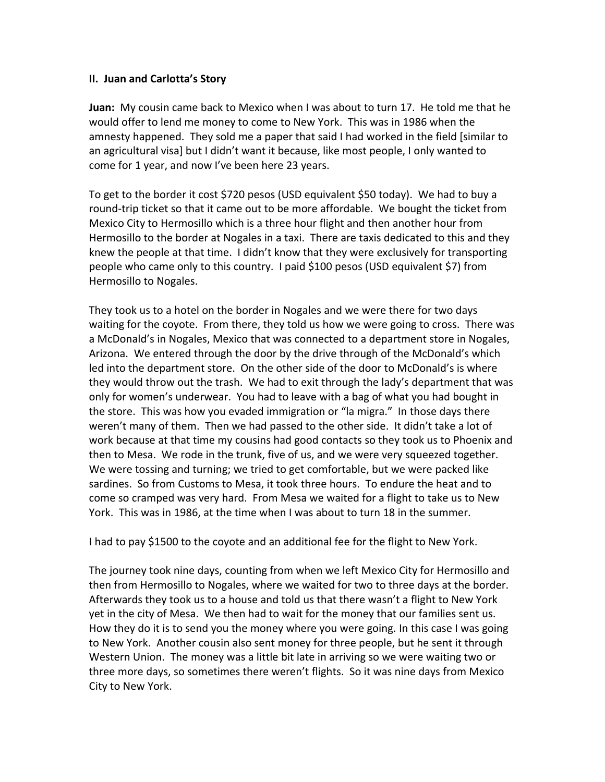#### **II. Juan and Carlotta's Story**

**Juan:** My cousin came back to Mexico when I was about to turn 17. He told me that he would offer to lend me money to come to New York. This was in 1986 when the amnesty happened. They sold me a paper that said I had worked in the field [similar to an agricultural visa] but I didn't want it because, like most people, I only wanted to come for 1 year, and now I've been here 23 years.

To get to the border it cost \$720 pesos (USD equivalent \$50 today). We had to buy a round-trip ticket so that it came out to be more affordable. We bought the ticket from Mexico City to Hermosillo which is a three hour flight and then another hour from Hermosillo to the border at Nogales in a taxi. There are taxis dedicated to this and they knew the people at that time. I didn't know that they were exclusively for transporting people who came only to this country. I paid \$100 pesos (USD equivalent \$7) from Hermosillo to Nogales.

They took us to a hotel on the border in Nogales and we were there for two days waiting for the coyote. From there, they told us how we were going to cross. There was a McDonald's in Nogales, Mexico that was connected to a department store in Nogales, Arizona. We entered through the door by the drive through of the McDonald's which led into the department store. On the other side of the door to McDonald's is where they would throw out the trash. We had to exit through the lady's department that was only for women's underwear. You had to leave with a bag of what you had bought in the store. This was how you evaded immigration or "la migra." In those days there weren't many of them. Then we had passed to the other side. It didn't take a lot of work because at that time my cousins had good contacts so they took us to Phoenix and then to Mesa. We rode in the trunk, five of us, and we were very squeezed together. We were tossing and turning; we tried to get comfortable, but we were packed like sardines. So from Customs to Mesa, it took three hours. To endure the heat and to come so cramped was very hard. From Mesa we waited for a flight to take us to New York. This was in 1986, at the time when I was about to turn 18 in the summer.

I had to pay \$1500 to the coyote and an additional fee for the flight to New York.

The journey took nine days, counting from when we left Mexico City for Hermosillo and then from Hermosillo to Nogales, where we waited for two to three days at the border. Afterwards they took us to a house and told us that there wasn't a flight to New York yet in the city of Mesa. We then had to wait for the money that our families sent us. How they do it is to send you the money where you were going. In this case I was going to New York. Another cousin also sent money for three people, but he sent it through Western Union. The money was a little bit late in arriving so we were waiting two or three more days, so sometimes there weren't flights. So it was nine days from Mexico City to New York.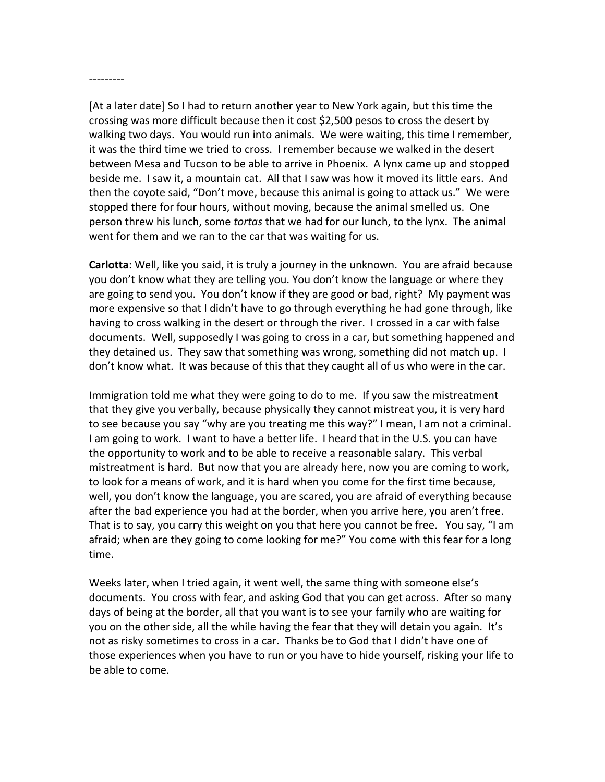[At a later date] So I had to return another year to New York again, but this time the crossing was more difficult because then it cost \$2,500 pesos to cross the desert by walking two days. You would run into animals. We were waiting, this time I remember, it was the third time we tried to cross. I remember because we walked in the desert between Mesa and Tucson to be able to arrive in Phoenix. A lynx came up and stopped beside me. I saw it, a mountain cat. All that I saw was how it moved its little ears. And then the coyote said, "Don't move, because this animal is going to attack us." We were stopped there for four hours, without moving, because the animal smelled us. One person threw his lunch, some *tortas* that we had for our lunch, to the lynx. The animal went for them and we ran to the car that was waiting for us.

---------

**Carlotta**: Well, like you said, it is truly a journey in the unknown. You are afraid because you don't know what they are telling you. You don't know the language or where they are going to send you. You don't know if they are good or bad, right? My payment was more expensive so that I didn't have to go through everything he had gone through, like having to cross walking in the desert or through the river. I crossed in a car with false documents. Well, supposedly I was going to cross in a car, but something happened and they detained us. They saw that something was wrong, something did not match up. I don't know what. It was because of this that they caught all of us who were in the car.

Immigration told me what they were going to do to me. If you saw the mistreatment that they give you verbally, because physically they cannot mistreat you, it is very hard to see because you say "why are you treating me this way?" I mean, I am not a criminal. I am going to work. I want to have a better life. I heard that in the U.S. you can have the opportunity to work and to be able to receive a reasonable salary. This verbal mistreatment is hard. But now that you are already here, now you are coming to work, to look for a means of work, and it is hard when you come for the first time because, well, you don't know the language, you are scared, you are afraid of everything because after the bad experience you had at the border, when you arrive here, you aren't free. That is to say, you carry this weight on you that here you cannot be free. You say, "I am afraid; when are they going to come looking for me?" You come with this fear for a long time.

Weeks later, when I tried again, it went well, the same thing with someone else's documents. You cross with fear, and asking God that you can get across. After so many days of being at the border, all that you want is to see your family who are waiting for you on the other side, all the while having the fear that they will detain you again. It's not as risky sometimes to cross in a car. Thanks be to God that I didn't have one of those experiences when you have to run or you have to hide yourself, risking your life to be able to come.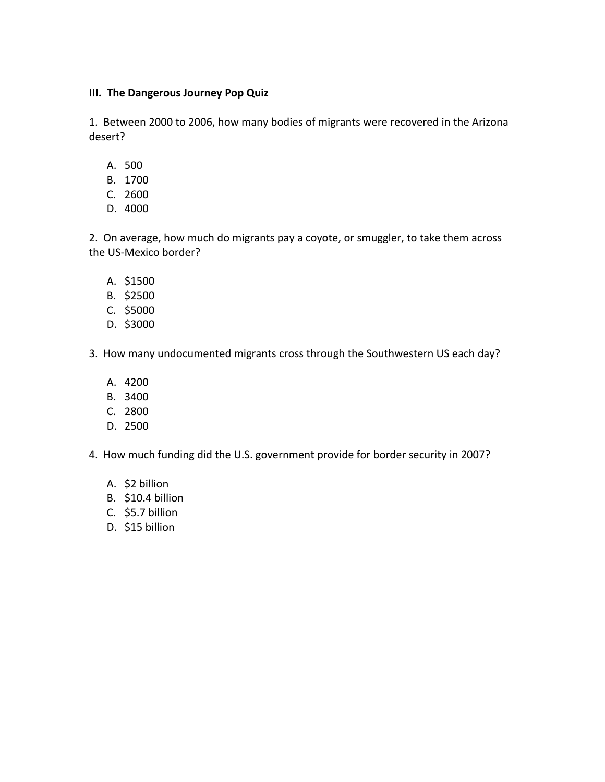#### **III. The Dangerous Journey Pop Quiz**

1. Between 2000 to 2006, how many bodies of migrants were recovered in the Arizona desert?

- A. 500
- B. 1700
- C. 2600
- D. 4000

2. On average, how much do migrants pay a coyote, or smuggler, to take them across the US-Mexico border?

- A. \$1500
- B. \$2500
- C. \$5000
- D. \$3000
- 3. How many undocumented migrants cross through the Southwestern US each day?
	- A. 4200
	- B. 3400
	- C. 2800
	- D. 2500

4. How much funding did the U.S. government provide for border security in 2007?

- A. \$2 billion
- B. \$10.4 billion
- C. \$5.7 billion
- D. \$15 billion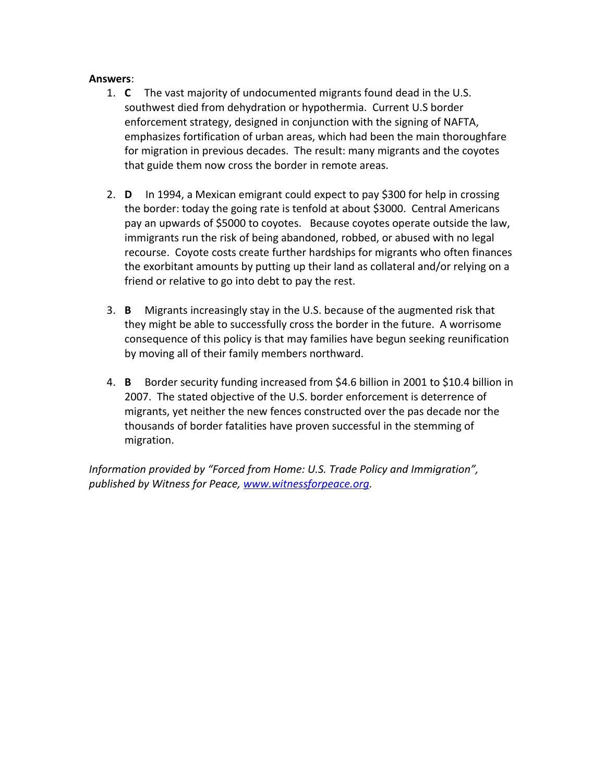#### **Answers**:

- 1. **C** The vast majority of undocumented migrants found dead in the U.S. southwest died from dehydration or hypothermia. Current U.S border enforcement strategy, designed in conjunction with the signing of NAFTA, emphasizes fortification of urban areas, which had been the main thoroughfare for migration in previous decades. The result: many migrants and the coyotes that guide them now cross the border in remote areas.
- 2. **D** In 1994, a Mexican emigrant could expect to pay \$300 for help in crossing the border: today the going rate is tenfold at about \$3000. Central Americans pay an upwards of \$5000 to coyotes. Because coyotes operate outside the law, immigrants run the risk of being abandoned, robbed, or abused with no legal recourse. Coyote costs create further hardships for migrants who often finances the exorbitant amounts by putting up their land as collateral and/or relying on a friend or relative to go into debt to pay the rest.
- 3. **B** Migrants increasingly stay in the U.S. because of the augmented risk that they might be able to successfully cross the border in the future. A worrisome consequence of this policy is that may families have begun seeking reunification by moving all of their family members northward.
- 4. **B** Border security funding increased from \$4.6 billion in 2001 to \$10.4 billion in 2007. The stated objective of the U.S. border enforcement is deterrence of migrants, yet neither the new fences constructed over the pas decade nor the thousands of border fatalities have proven successful in the stemming of migration.

*Information provided by "Forced from Home: U.S. Trade Policy and Immigration", published by Witness for Peace, [www.witnessforpeace.org.](http://www.witnessforpeace.org/)*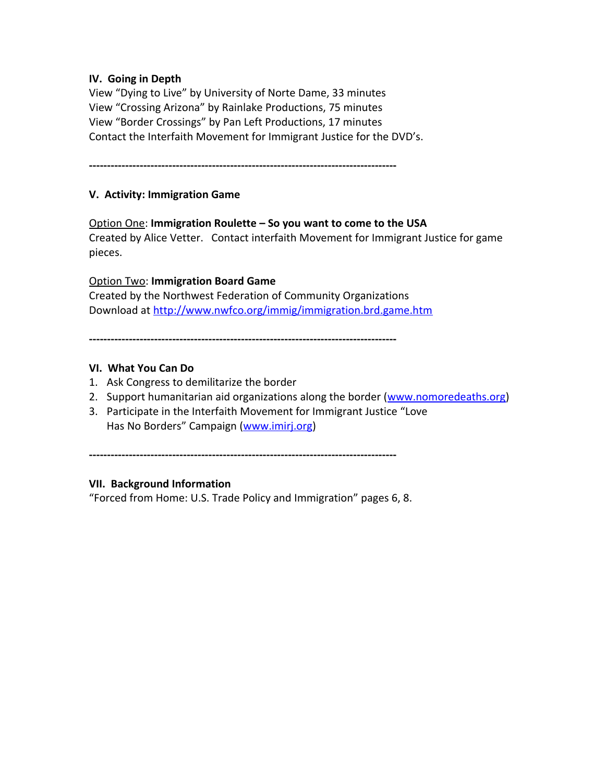## **IV. Going in Depth**

View "Dying to Live" by University of Norte Dame, 33 minutes View "Crossing Arizona" by Rainlake Productions, 75 minutes View "Border Crossings" by Pan Left Productions, 17 minutes Contact the Interfaith Movement for Immigrant Justice for the DVD's.

**-------------------------------------------------------------------------------------**

## **V. Activity: Immigration Game**

Option One: **Immigration Roulette – So you want to come to the USA** Created by Alice Vetter. Contact interfaith Movement for Immigrant Justice for game pieces.

#### Option Two: **Immigration Board Game**

Created by the Northwest Federation of Community Organizations Download at<http://www.nwfco.org/immig/immigration.brd.game.htm>

**-------------------------------------------------------------------------------------**

# **VI. What You Can Do**

- 1. Ask Congress to demilitarize the border
- 2. Support humanitarian aid organizations along the border [\(www.nomoredeaths.org\)](http://www.nomoredeaths.org/)
- 3. Participate in the Interfaith Movement for Immigrant Justice "Love Has No Borders" Campaign [\(www.imirj.org\)](http://www.imirj.org/)

**-------------------------------------------------------------------------------------**

#### **VII. Background Information**

"Forced from Home: U.S. Trade Policy and Immigration" pages 6, 8.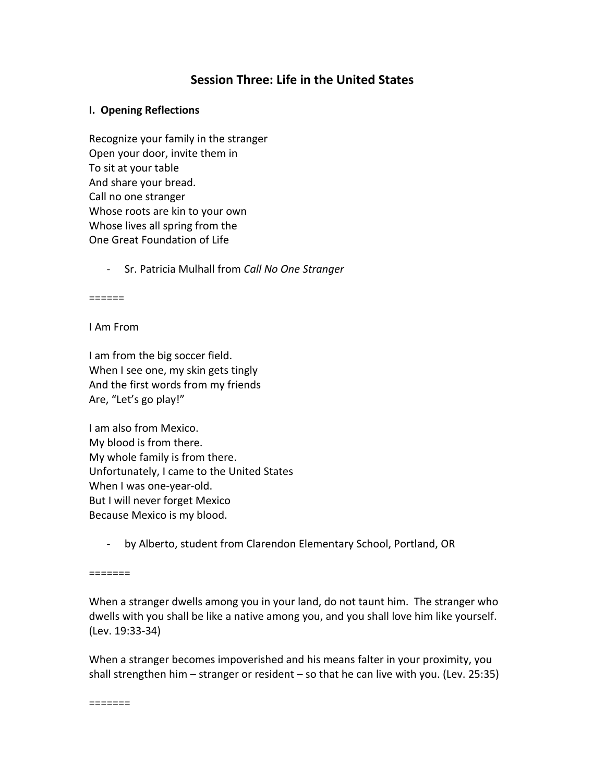# **Session Three: Life in the United States**

#### **I. Opening Reflections**

Recognize your family in the stranger Open your door, invite them in To sit at your table And share your bread. Call no one stranger Whose roots are kin to your own Whose lives all spring from the One Great Foundation of Life

- Sr. Patricia Mulhall from *Call No One Stranger*

======

I Am From

I am from the big soccer field. When I see one, my skin gets tingly And the first words from my friends Are, "Let's go play!"

I am also from Mexico. My blood is from there. My whole family is from there. Unfortunately, I came to the United States When I was one-year-old. But I will never forget Mexico Because Mexico is my blood.

- by Alberto, student from Clarendon Elementary School, Portland, OR

=======

When a stranger dwells among you in your land, do not taunt him. The stranger who dwells with you shall be like a native among you, and you shall love him like yourself. (Lev. 19:33-34)

When a stranger becomes impoverished and his means falter in your proximity, you shall strengthen him – stranger or resident – so that he can live with you. (Lev. 25:35)

=======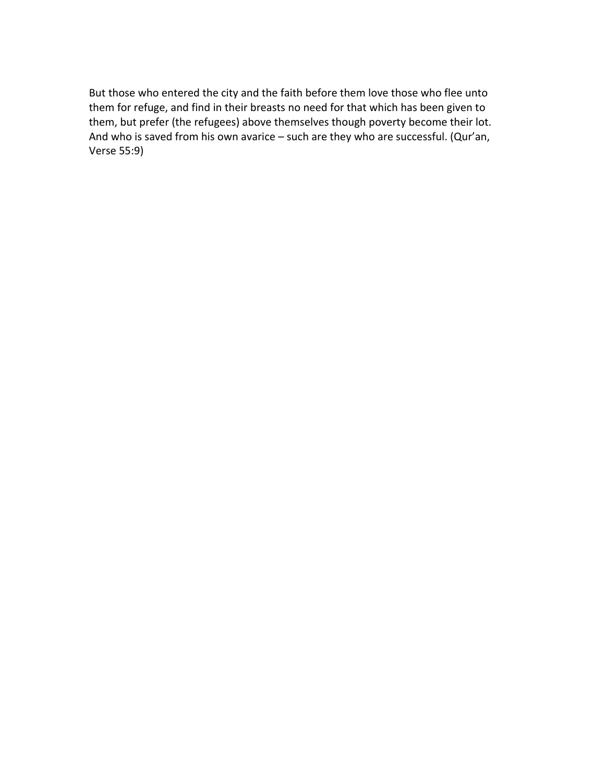But those who entered the city and the faith before them love those who flee unto them for refuge, and find in their breasts no need for that which has been given to them, but prefer (the refugees) above themselves though poverty become their lot. And who is saved from his own avarice – such are they who are successful. (Qur'an, Verse 55:9)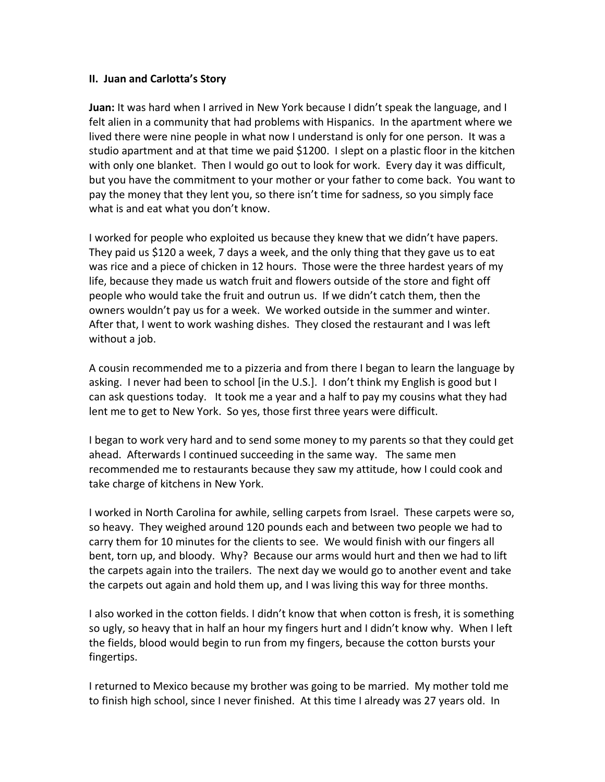#### **II. Juan and Carlotta's Story**

**Juan:** It was hard when I arrived in New York because I didn't speak the language, and I felt alien in a community that had problems with Hispanics. In the apartment where we lived there were nine people in what now I understand is only for one person. It was a studio apartment and at that time we paid \$1200. I slept on a plastic floor in the kitchen with only one blanket. Then I would go out to look for work. Every day it was difficult, but you have the commitment to your mother or your father to come back. You want to pay the money that they lent you, so there isn't time for sadness, so you simply face what is and eat what you don't know.

I worked for people who exploited us because they knew that we didn't have papers. They paid us \$120 a week, 7 days a week, and the only thing that they gave us to eat was rice and a piece of chicken in 12 hours. Those were the three hardest years of my life, because they made us watch fruit and flowers outside of the store and fight off people who would take the fruit and outrun us. If we didn't catch them, then the owners wouldn't pay us for a week. We worked outside in the summer and winter. After that, I went to work washing dishes. They closed the restaurant and I was left without a job.

A cousin recommended me to a pizzeria and from there I began to learn the language by asking. I never had been to school [in the U.S.]. I don't think my English is good but I can ask questions today. It took me a year and a half to pay my cousins what they had lent me to get to New York. So yes, those first three years were difficult.

I began to work very hard and to send some money to my parents so that they could get ahead. Afterwards I continued succeeding in the same way. The same men recommended me to restaurants because they saw my attitude, how I could cook and take charge of kitchens in New York.

I worked in North Carolina for awhile, selling carpets from Israel. These carpets were so, so heavy. They weighed around 120 pounds each and between two people we had to carry them for 10 minutes for the clients to see. We would finish with our fingers all bent, torn up, and bloody. Why? Because our arms would hurt and then we had to lift the carpets again into the trailers. The next day we would go to another event and take the carpets out again and hold them up, and I was living this way for three months.

I also worked in the cotton fields. I didn't know that when cotton is fresh, it is something so ugly, so heavy that in half an hour my fingers hurt and I didn't know why. When I left the fields, blood would begin to run from my fingers, because the cotton bursts your fingertips.

I returned to Mexico because my brother was going to be married. My mother told me to finish high school, since I never finished. At this time I already was 27 years old. In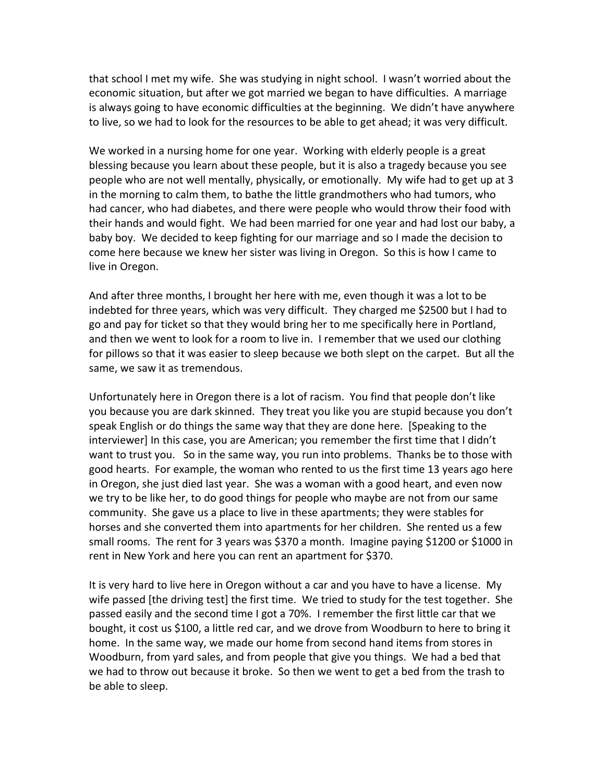that school I met my wife. She was studying in night school. I wasn't worried about the economic situation, but after we got married we began to have difficulties. A marriage is always going to have economic difficulties at the beginning. We didn't have anywhere to live, so we had to look for the resources to be able to get ahead; it was very difficult.

We worked in a nursing home for one year. Working with elderly people is a great blessing because you learn about these people, but it is also a tragedy because you see people who are not well mentally, physically, or emotionally. My wife had to get up at 3 in the morning to calm them, to bathe the little grandmothers who had tumors, who had cancer, who had diabetes, and there were people who would throw their food with their hands and would fight. We had been married for one year and had lost our baby, a baby boy. We decided to keep fighting for our marriage and so I made the decision to come here because we knew her sister was living in Oregon. So this is how I came to live in Oregon.

And after three months, I brought her here with me, even though it was a lot to be indebted for three years, which was very difficult. They charged me \$2500 but I had to go and pay for ticket so that they would bring her to me specifically here in Portland, and then we went to look for a room to live in. I remember that we used our clothing for pillows so that it was easier to sleep because we both slept on the carpet. But all the same, we saw it as tremendous.

Unfortunately here in Oregon there is a lot of racism. You find that people don't like you because you are dark skinned. They treat you like you are stupid because you don't speak English or do things the same way that they are done here. [Speaking to the interviewer] In this case, you are American; you remember the first time that I didn't want to trust you. So in the same way, you run into problems. Thanks be to those with good hearts. For example, the woman who rented to us the first time 13 years ago here in Oregon, she just died last year. She was a woman with a good heart, and even now we try to be like her, to do good things for people who maybe are not from our same community. She gave us a place to live in these apartments; they were stables for horses and she converted them into apartments for her children. She rented us a few small rooms. The rent for 3 years was \$370 a month. Imagine paying \$1200 or \$1000 in rent in New York and here you can rent an apartment for \$370.

It is very hard to live here in Oregon without a car and you have to have a license. My wife passed [the driving test] the first time. We tried to study for the test together. She passed easily and the second time I got a 70%. I remember the first little car that we bought, it cost us \$100, a little red car, and we drove from Woodburn to here to bring it home. In the same way, we made our home from second hand items from stores in Woodburn, from yard sales, and from people that give you things. We had a bed that we had to throw out because it broke. So then we went to get a bed from the trash to be able to sleep.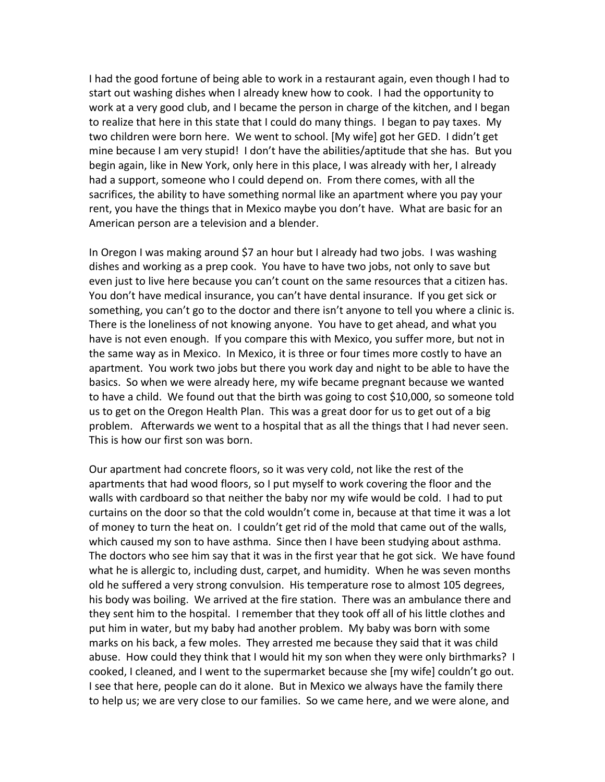I had the good fortune of being able to work in a restaurant again, even though I had to start out washing dishes when I already knew how to cook. I had the opportunity to work at a very good club, and I became the person in charge of the kitchen, and I began to realize that here in this state that I could do many things. I began to pay taxes. My two children were born here. We went to school. [My wife] got her GED. I didn't get mine because I am very stupid! I don't have the abilities/aptitude that she has. But you begin again, like in New York, only here in this place, I was already with her, I already had a support, someone who I could depend on. From there comes, with all the sacrifices, the ability to have something normal like an apartment where you pay your rent, you have the things that in Mexico maybe you don't have. What are basic for an American person are a television and a blender.

In Oregon I was making around \$7 an hour but I already had two jobs. I was washing dishes and working as a prep cook. You have to have two jobs, not only to save but even just to live here because you can't count on the same resources that a citizen has. You don't have medical insurance, you can't have dental insurance. If you get sick or something, you can't go to the doctor and there isn't anyone to tell you where a clinic is. There is the loneliness of not knowing anyone. You have to get ahead, and what you have is not even enough. If you compare this with Mexico, you suffer more, but not in the same way as in Mexico. In Mexico, it is three or four times more costly to have an apartment. You work two jobs but there you work day and night to be able to have the basics. So when we were already here, my wife became pregnant because we wanted to have a child. We found out that the birth was going to cost \$10,000, so someone told us to get on the Oregon Health Plan. This was a great door for us to get out of a big problem. Afterwards we went to a hospital that as all the things that I had never seen. This is how our first son was born.

Our apartment had concrete floors, so it was very cold, not like the rest of the apartments that had wood floors, so I put myself to work covering the floor and the walls with cardboard so that neither the baby nor my wife would be cold. I had to put curtains on the door so that the cold wouldn't come in, because at that time it was a lot of money to turn the heat on. I couldn't get rid of the mold that came out of the walls, which caused my son to have asthma. Since then I have been studying about asthma. The doctors who see him say that it was in the first year that he got sick. We have found what he is allergic to, including dust, carpet, and humidity. When he was seven months old he suffered a very strong convulsion. His temperature rose to almost 105 degrees, his body was boiling. We arrived at the fire station. There was an ambulance there and they sent him to the hospital. I remember that they took off all of his little clothes and put him in water, but my baby had another problem. My baby was born with some marks on his back, a few moles. They arrested me because they said that it was child abuse. How could they think that I would hit my son when they were only birthmarks? I cooked, I cleaned, and I went to the supermarket because she [my wife] couldn't go out. I see that here, people can do it alone. But in Mexico we always have the family there to help us; we are very close to our families. So we came here, and we were alone, and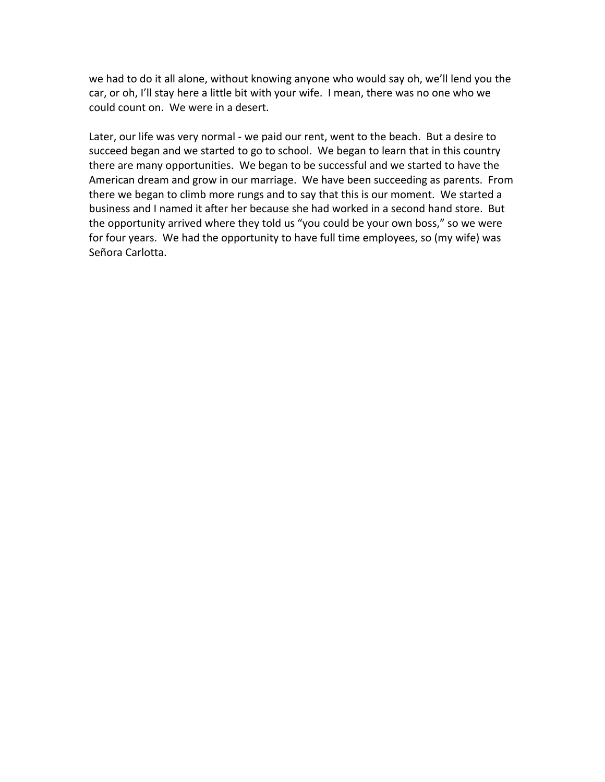we had to do it all alone, without knowing anyone who would say oh, we'll lend you the car, or oh, I'll stay here a little bit with your wife. I mean, there was no one who we could count on. We were in a desert.

Later, our life was very normal - we paid our rent, went to the beach. But a desire to succeed began and we started to go to school. We began to learn that in this country there are many opportunities. We began to be successful and we started to have the American dream and grow in our marriage. We have been succeeding as parents. From there we began to climb more rungs and to say that this is our moment. We started a business and I named it after her because she had worked in a second hand store. But the opportunity arrived where they told us "you could be your own boss," so we were for four years. We had the opportunity to have full time employees, so (my wife) was Señora Carlotta.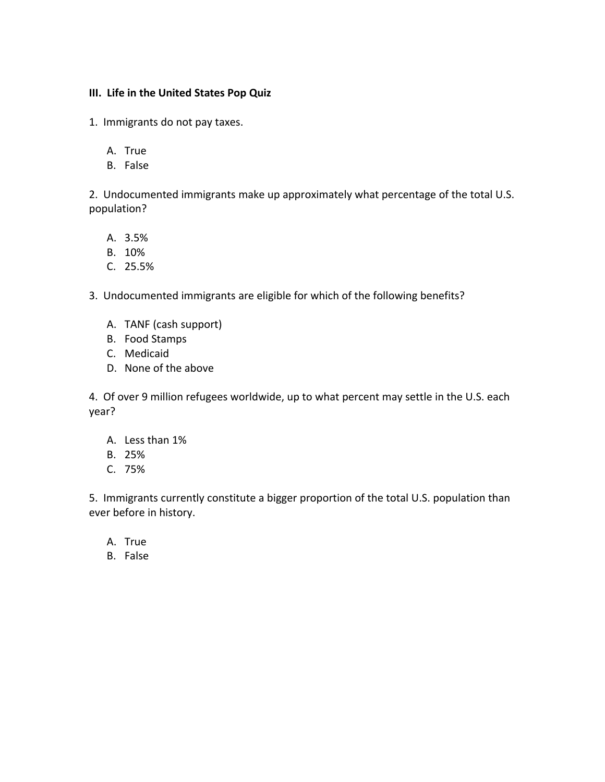## **III. Life in the United States Pop Quiz**

- 1. Immigrants do not pay taxes.
	- A. True
	- B. False

2. Undocumented immigrants make up approximately what percentage of the total U.S. population?

- A. 3.5%
- B. 10%
- C. 25.5%
- 3. Undocumented immigrants are eligible for which of the following benefits?
	- A. TANF (cash support)
	- B. Food Stamps
	- C. Medicaid
	- D. None of the above

4. Of over 9 million refugees worldwide, up to what percent may settle in the U.S. each year?

- A. Less than 1%
- B. 25%
- C. 75%

5. Immigrants currently constitute a bigger proportion of the total U.S. population than ever before in history.

- A. True
- B. False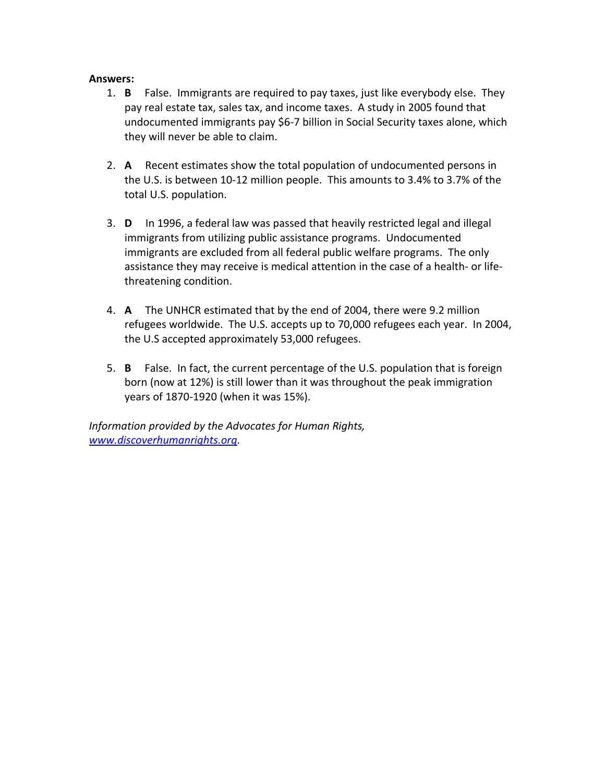#### **Answers:**

- 1. **B** False. Immigrants are required to pay taxes, just like everybody else. They pay real estate tax, sales tax, and income taxes. A study in 2005 found that undocumented immigrants pay \$6-7 billion in Social Security taxes alone, which they will never be able to claim.
- 2. **A** Recent estimates show the total population of undocumented persons in the U.S. is between 10-12 million people. This amounts to 3.4% to 3.7% of the total U.S. population.
- 3. **D** In 1996, a federal law was passed that heavily restricted legal and illegal immigrants from utilizing public assistance programs. Undocumented immigrants are excluded from all federal public welfare programs. The only assistance they may receive is medical attention in the case of a health- or lifethreatening condition.
- 4. **A** The UNHCR estimated that by the end of 2004, there were 9.2 million refugees worldwide. The U.S. accepts up to 70,000 refugees each year. In 2004, the U.S accepted approximately 53,000 refugees.
- 5. **B** False. In fact, the current percentage of the U.S. population that is foreign born (now at 12%) is still lower than it was throughout the peak immigration years of 1870-1920 (when it was 15%).

*Information provided by the Advocates for Human Rights, [www.discoverhumanrights.org.](http://www.discoverhumanrights.org/)*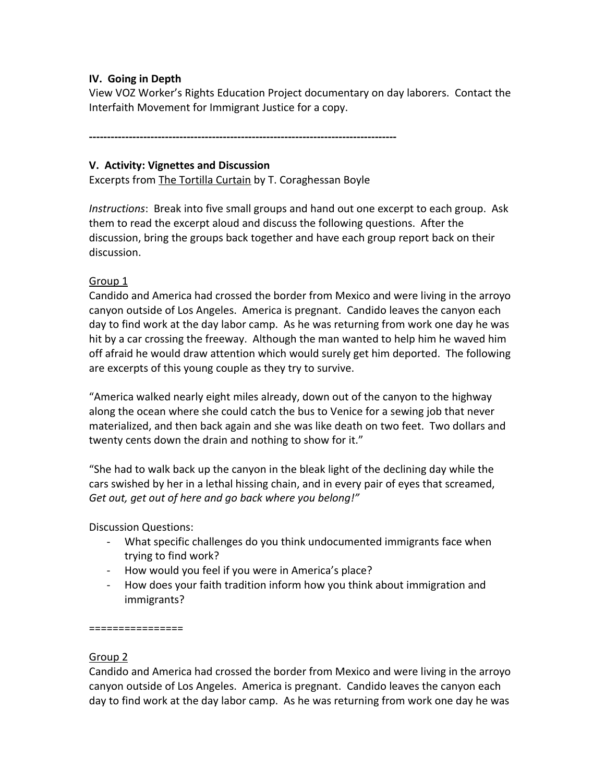# **IV. Going in Depth**

View VOZ Worker's Rights Education Project documentary on day laborers. Contact the Interfaith Movement for Immigrant Justice for a copy.

**-------------------------------------------------------------------------------------**

#### **V. Activity: Vignettes and Discussion**

Excerpts from The Tortilla Curtain by T. Coraghessan Boyle

*Instructions*: Break into five small groups and hand out one excerpt to each group. Ask them to read the excerpt aloud and discuss the following questions. After the discussion, bring the groups back together and have each group report back on their discussion.

#### Group 1

Candido and America had crossed the border from Mexico and were living in the arroyo canyon outside of Los Angeles. America is pregnant. Candido leaves the canyon each day to find work at the day labor camp. As he was returning from work one day he was hit by a car crossing the freeway. Although the man wanted to help him he waved him off afraid he would draw attention which would surely get him deported. The following are excerpts of this young couple as they try to survive.

"America walked nearly eight miles already, down out of the canyon to the highway along the ocean where she could catch the bus to Venice for a sewing job that never materialized, and then back again and she was like death on two feet. Two dollars and twenty cents down the drain and nothing to show for it."

"She had to walk back up the canyon in the bleak light of the declining day while the cars swished by her in a lethal hissing chain, and in every pair of eyes that screamed, *Get out, get out of here and go back where you belong!"*

Discussion Questions:

- What specific challenges do you think undocumented immigrants face when trying to find work?
- How would you feel if you were in America's place?
- How does your faith tradition inform how you think about immigration and immigrants?

================

#### Group 2

Candido and America had crossed the border from Mexico and were living in the arroyo canyon outside of Los Angeles. America is pregnant. Candido leaves the canyon each day to find work at the day labor camp. As he was returning from work one day he was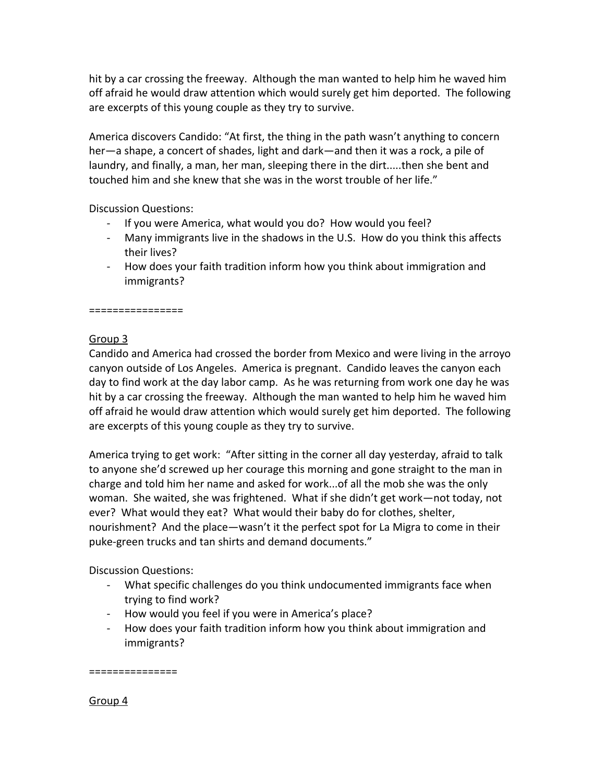hit by a car crossing the freeway. Although the man wanted to help him he waved him off afraid he would draw attention which would surely get him deported. The following are excerpts of this young couple as they try to survive.

America discovers Candido: "At first, the thing in the path wasn't anything to concern her—a shape, a concert of shades, light and dark—and then it was a rock, a pile of laundry, and finally, a man, her man, sleeping there in the dirt.....then she bent and touched him and she knew that she was in the worst trouble of her life."

Discussion Questions:

- If you were America, what would you do? How would you feel?
- Many immigrants live in the shadows in the U.S. How do you think this affects their lives?
- How does your faith tradition inform how you think about immigration and immigrants?

================

# Group 3

Candido and America had crossed the border from Mexico and were living in the arroyo canyon outside of Los Angeles. America is pregnant. Candido leaves the canyon each day to find work at the day labor camp. As he was returning from work one day he was hit by a car crossing the freeway. Although the man wanted to help him he waved him off afraid he would draw attention which would surely get him deported. The following are excerpts of this young couple as they try to survive.

America trying to get work: "After sitting in the corner all day yesterday, afraid to talk to anyone she'd screwed up her courage this morning and gone straight to the man in charge and told him her name and asked for work...of all the mob she was the only woman. She waited, she was frightened. What if she didn't get work—not today, not ever? What would they eat? What would their baby do for clothes, shelter, nourishment? And the place—wasn't it the perfect spot for La Migra to come in their puke-green trucks and tan shirts and demand documents."

Discussion Questions:

- What specific challenges do you think undocumented immigrants face when trying to find work?
- How would you feel if you were in America's place?
- How does your faith tradition inform how you think about immigration and immigrants?

===============

Group 4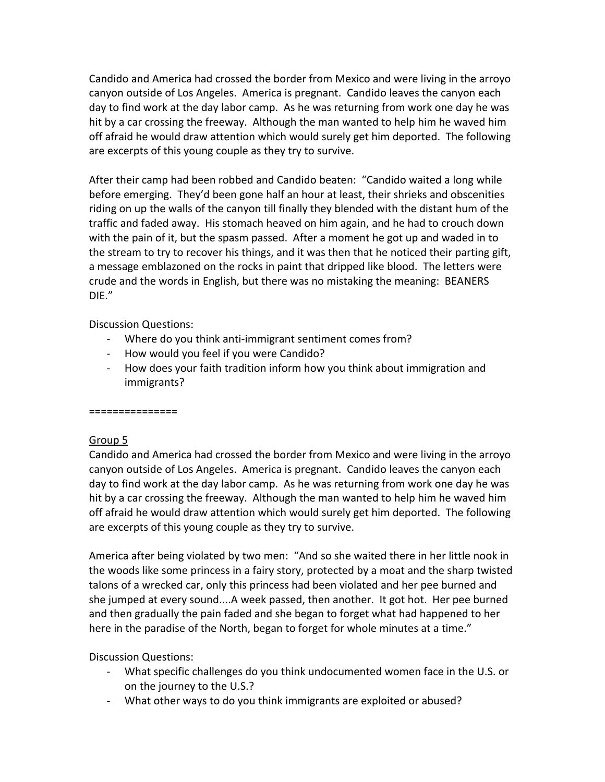Candido and America had crossed the border from Mexico and were living in the arroyo canyon outside of Los Angeles. America is pregnant. Candido leaves the canyon each day to find work at the day labor camp. As he was returning from work one day he was hit by a car crossing the freeway. Although the man wanted to help him he waved him off afraid he would draw attention which would surely get him deported. The following are excerpts of this young couple as they try to survive.

After their camp had been robbed and Candido beaten: "Candido waited a long while before emerging. They'd been gone half an hour at least, their shrieks and obscenities riding on up the walls of the canyon till finally they blended with the distant hum of the traffic and faded away. His stomach heaved on him again, and he had to crouch down with the pain of it, but the spasm passed. After a moment he got up and waded in to the stream to try to recover his things, and it was then that he noticed their parting gift, a message emblazoned on the rocks in paint that dripped like blood. The letters were crude and the words in English, but there was no mistaking the meaning: BEANERS DIE."

Discussion Questions:

- Where do you think anti-immigrant sentiment comes from?
- How would you feel if you were Candido?
- How does your faith tradition inform how you think about immigration and immigrants?

#### ===============

#### Group 5

Candido and America had crossed the border from Mexico and were living in the arroyo canyon outside of Los Angeles. America is pregnant. Candido leaves the canyon each day to find work at the day labor camp. As he was returning from work one day he was hit by a car crossing the freeway. Although the man wanted to help him he waved him off afraid he would draw attention which would surely get him deported. The following are excerpts of this young couple as they try to survive.

America after being violated by two men: "And so she waited there in her little nook in the woods like some princess in a fairy story, protected by a moat and the sharp twisted talons of a wrecked car, only this princess had been violated and her pee burned and she jumped at every sound....A week passed, then another. It got hot. Her pee burned and then gradually the pain faded and she began to forget what had happened to her here in the paradise of the North, began to forget for whole minutes at a time."

Discussion Questions:

- What specific challenges do you think undocumented women face in the U.S. or on the journey to the U.S.?
- What other ways to do you think immigrants are exploited or abused?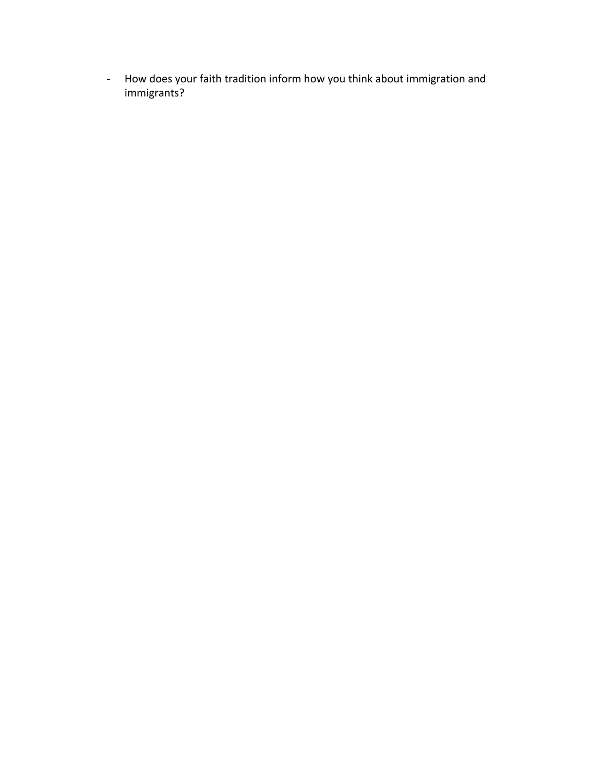- How does your faith tradition inform how you think about immigration and immigrants?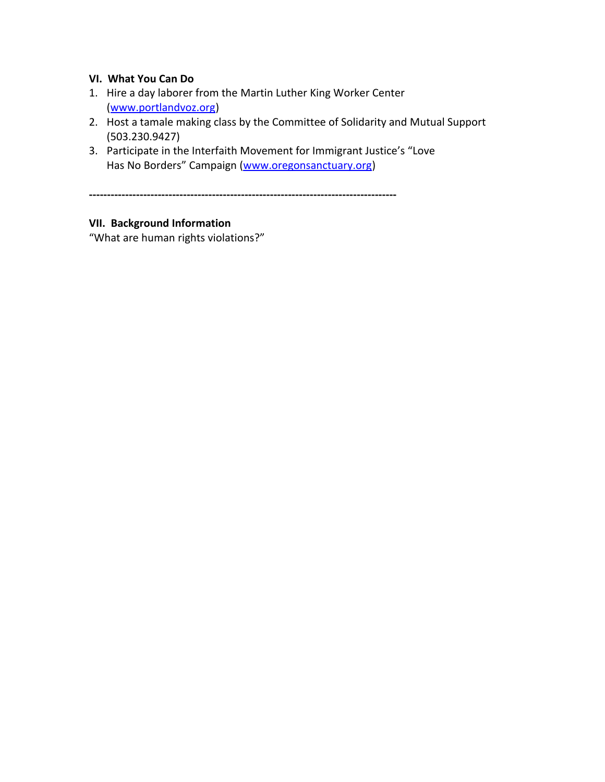# **VI. What You Can Do**

- 1. Hire a day laborer from the Martin Luther King Worker Center [\(www.portlandvoz.org\)](http://www.portlandvoz.org/)
- 2. Host a tamale making class by the Committee of Solidarity and Mutual Support (503.230.9427)
- 3. Participate in the Interfaith Movement for Immigrant Justice's "Love Has No Borders" Campaign [\(www.oregonsanctuary.org\)](http://www.oregonsanctuary.org/)

**-------------------------------------------------------------------------------------**

# **VII. Background Information**

"What are human rights violations?"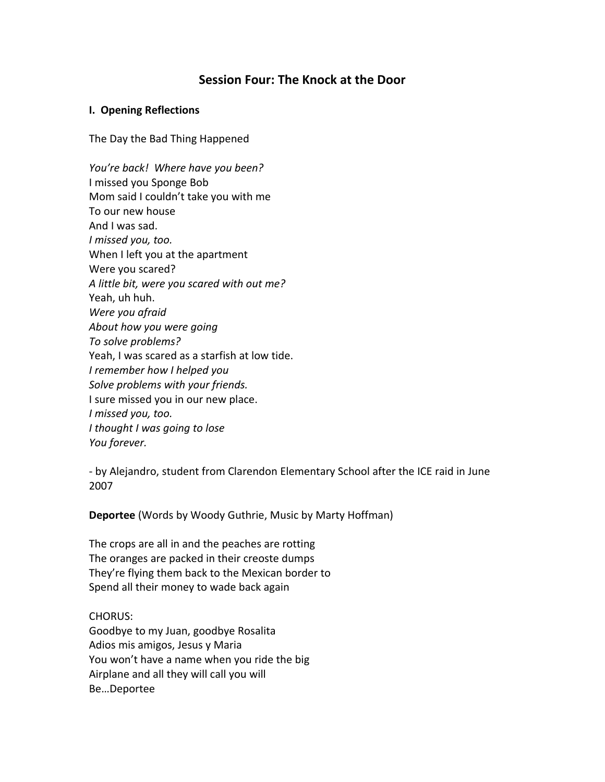# **Session Four: The Knock at the Door**

#### **I. Opening Reflections**

The Day the Bad Thing Happened

*You're back! Where have you been?* I missed you Sponge Bob Mom said I couldn't take you with me To our new house And I was sad. *I missed you, too.* When I left you at the apartment Were you scared? *A little bit, were you scared with out me?* Yeah, uh huh. *Were you afraid About how you were going To solve problems?* Yeah, I was scared as a starfish at low tide. *I remember how I helped you Solve problems with your friends.* I sure missed you in our new place. *I missed you, too. I thought I was going to lose You forever.*

- by Alejandro, student from Clarendon Elementary School after the ICE raid in June 2007

**Deportee** (Words by Woody Guthrie, Music by Marty Hoffman)

The crops are all in and the peaches are rotting The oranges are packed in their creoste dumps They're flying them back to the Mexican border to Spend all their money to wade back again

CHORUS: Goodbye to my Juan, goodbye Rosalita Adios mis amigos, Jesus y Maria You won't have a name when you ride the big Airplane and all they will call you will Be…Deportee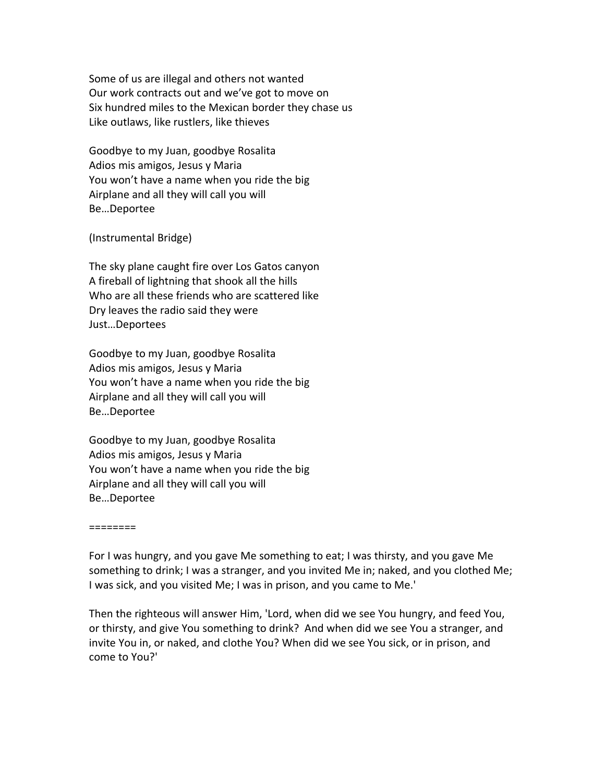Some of us are illegal and others not wanted Our work contracts out and we've got to move on Six hundred miles to the Mexican border they chase us Like outlaws, like rustlers, like thieves

Goodbye to my Juan, goodbye Rosalita Adios mis amigos, Jesus y Maria You won't have a name when you ride the big Airplane and all they will call you will Be…Deportee

(Instrumental Bridge)

The sky plane caught fire over Los Gatos canyon A fireball of lightning that shook all the hills Who are all these friends who are scattered like Dry leaves the radio said they were Just…Deportees

Goodbye to my Juan, goodbye Rosalita Adios mis amigos, Jesus y Maria You won't have a name when you ride the big Airplane and all they will call you will Be…Deportee

Goodbye to my Juan, goodbye Rosalita Adios mis amigos, Jesus y Maria You won't have a name when you ride the big Airplane and all they will call you will Be…Deportee

========

For I was hungry, and you gave Me something to eat; I was thirsty, and you gave Me something to drink; I was a stranger, and you invited Me in; naked, and you clothed Me; I was sick, and you visited Me; I was in prison, and you came to Me.'

Then the righteous will answer Him, 'Lord, when did we see You hungry, and feed You, or thirsty, and give You something to drink? And when did we see You a stranger, and invite You in, or naked, and clothe You? When did we see You sick, or in prison, and come to You?'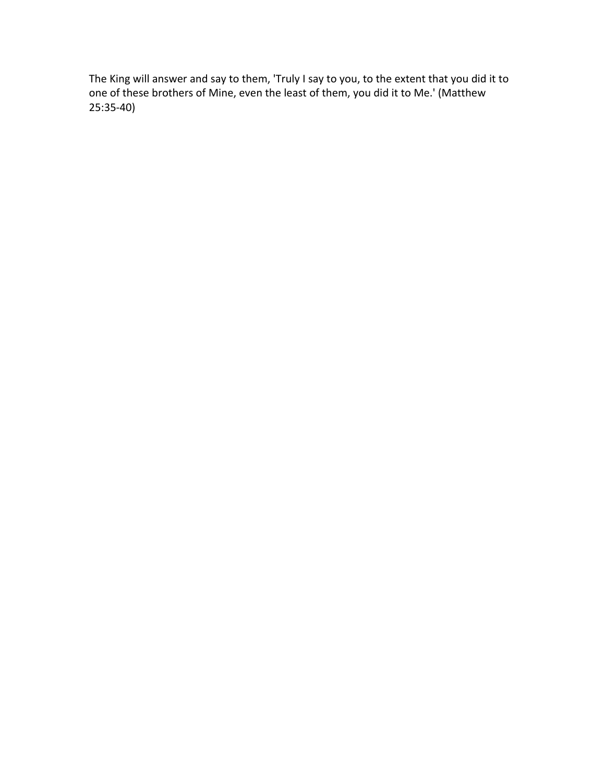The King will answer and say to them, 'Truly I say to you, to the extent that you did it to one of these brothers of Mine, even the least of them, you did it to Me.' (Matthew 25:35-40)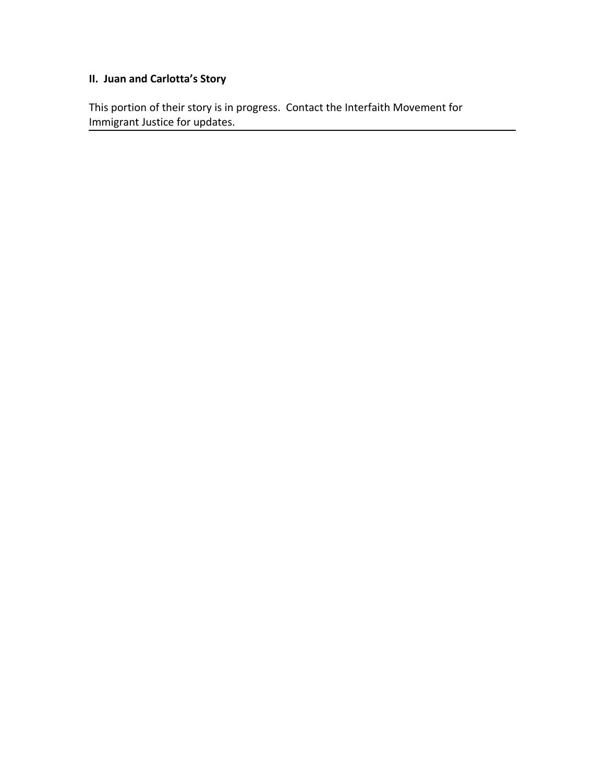# **II. Juan and Carlotta's Story**

This portion of their story is in progress. Contact the Interfaith Movement for Immigrant Justice for updates.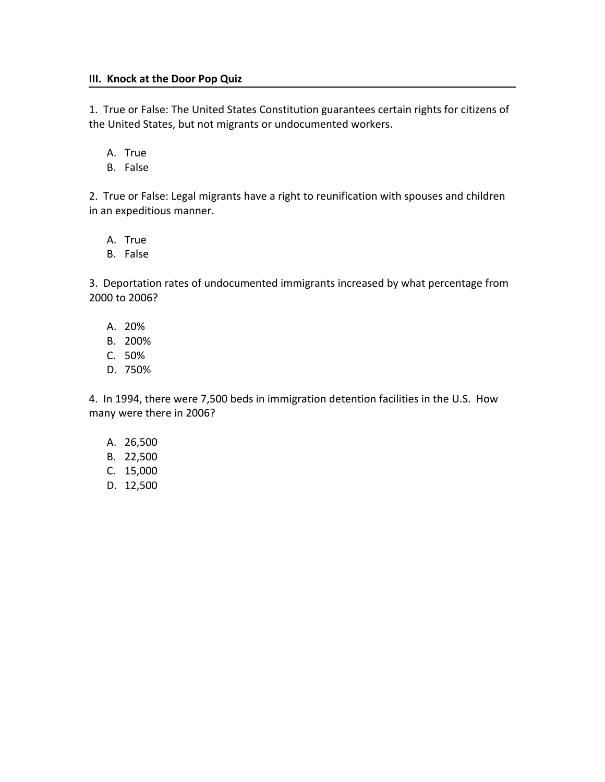#### **III. Knock at the Door Pop Quiz**

1. True or False: The United States Constitution guarantees certain rights for citizens of the United States, but not migrants or undocumented workers.

A. True

B. False

2. True or False: Legal migrants have a right to reunification with spouses and children in an expeditious manner.

- A. True
- B. False

3. Deportation rates of undocumented immigrants increased by what percentage from 2000 to 2006?

- A. 20%
- B. 200%
- C. 50%
- D. 750%

4. In 1994, there were 7,500 beds in immigration detention facilities in the U.S. How many were there in 2006?

- A. 26,500
- B. 22,500
- C. 15,000
- D. 12,500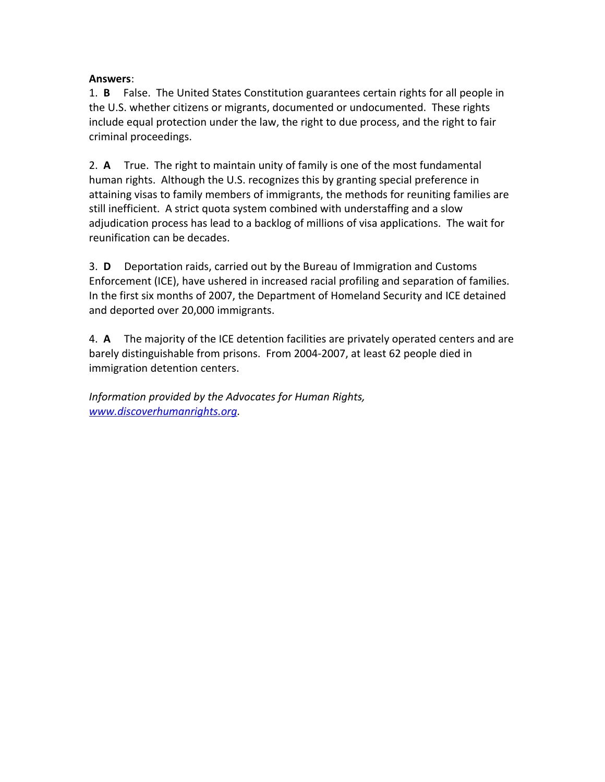# **Answers**:

1. **B** False. The United States Constitution guarantees certain rights for all people in the U.S. whether citizens or migrants, documented or undocumented. These rights include equal protection under the law, the right to due process, and the right to fair criminal proceedings.

2. **A** True. The right to maintain unity of family is one of the most fundamental human rights. Although the U.S. recognizes this by granting special preference in attaining visas to family members of immigrants, the methods for reuniting families are still inefficient. A strict quota system combined with understaffing and a slow adjudication process has lead to a backlog of millions of visa applications. The wait for reunification can be decades.

3. **D** Deportation raids, carried out by the Bureau of Immigration and Customs Enforcement (ICE), have ushered in increased racial profiling and separation of families. In the first six months of 2007, the Department of Homeland Security and ICE detained and deported over 20,000 immigrants.

4. **A** The majority of the ICE detention facilities are privately operated centers and are barely distinguishable from prisons. From 2004-2007, at least 62 people died in immigration detention centers.

*Information provided by the Advocates for Human Rights, [www.discoverhumanrights.org.](http://www.discoverhumanrights.org/)*